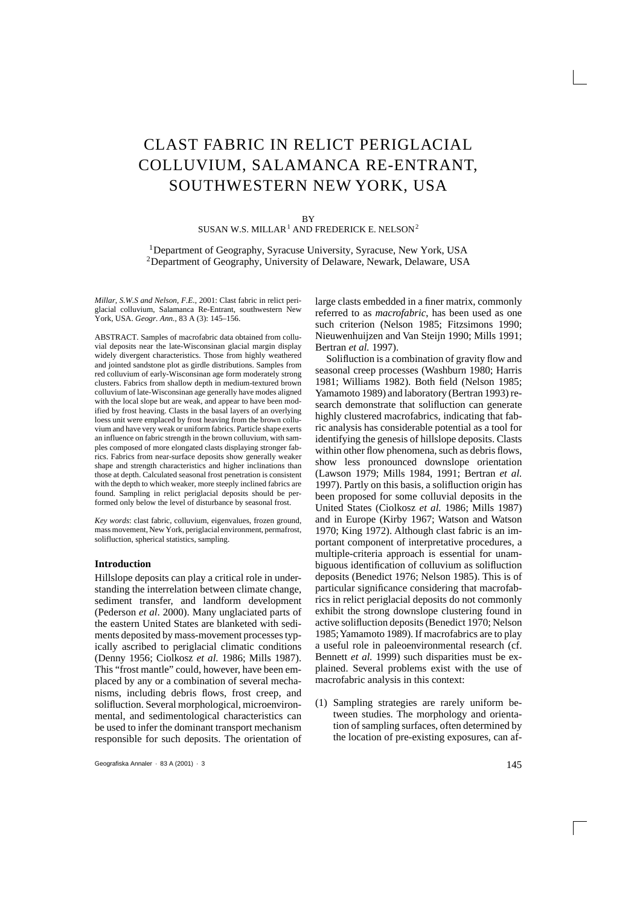# CLAST FABRIC IN RELICT PERIGLACIAL COLLUVIUM, SALAMANCA RE-ENTRANT, SOUTHWESTERN NEW YORK, USA

#### **BV**

SUSAN W.S. MILLAR<sup>1</sup> AND FREDERICK E. NELSON<sup>2</sup>

1Department of Geography, Syracuse University, Syracuse, New York, USA <sup>2</sup>Department of Geography, University of Delaware, Newark, Delaware, USA

*Millar, S.W.S and Nelson, F.E.*, 2001: Clast fabric in relict periglacial colluvium, Salamanca Re-Entrant, southwestern New York, USA. *Geogr. Ann.,* 83 A (3): 145–156.

ABSTRACT. Samples of macrofabric data obtained from colluvial deposits near the late-Wisconsinan glacial margin display widely divergent characteristics. Those from highly weathered and jointed sandstone plot as girdle distributions. Samples from red colluvium of early-Wisconsinan age form moderately strong clusters. Fabrics from shallow depth in medium-textured brown colluvium of late-Wisconsinan age generally have modes aligned with the local slope but are weak, and appear to have been modified by frost heaving. Clasts in the basal layers of an overlying loess unit were emplaced by frost heaving from the brown colluvium and have very weak or uniform fabrics. Particle shape exerts an influence on fabric strength in the brown colluvium, with samples composed of more elongated clasts displaying stronger fabrics. Fabrics from near-surface deposits show generally weaker shape and strength characteristics and higher inclinations than those at depth. Calculated seasonal frost penetration is consistent with the depth to which weaker, more steeply inclined fabrics are found. Sampling in relict periglacial deposits should be performed only below the level of disturbance by seasonal frost.

*Key words*: clast fabric, colluvium, eigenvalues, frozen ground, mass movement, New York, periglacial environment, permafrost, solifluction, spherical statistics, sampling.

## **Introduction**

Hillslope deposits can play a critical role in understanding the interrelation between climate change, sediment transfer, and landform development (Pederson *et al*. 2000). Many unglaciated parts of the eastern United States are blanketed with sediments deposited by mass-movement processes typically ascribed to periglacial climatic conditions (Denny 1956; Ciolkosz *et al.* 1986; Mills 1987). This "frost mantle" could, however, have been emplaced by any or a combination of several mechanisms, including debris flows, frost creep, and solifluction. Several morphological, microenvironmental, and sedimentological characteristics can be used to infer the dominant transport mechanism responsible for such deposits. The orientation of

large clasts embedded in a finer matrix, commonly referred to as *macrofabric*, has been used as one such criterion (Nelson 1985; Fitzsimons 1990; Nieuwenhuijzen and Van Steijn 1990; Mills 1991; Bertran *et al.* 1997).

Solifluction is a combination of gravity flow and seasonal creep processes (Washburn 1980; Harris 1981; Williams 1982). Both field (Nelson 1985; Yamamoto 1989) and laboratory (Bertran 1993) research demonstrate that solifluction can generate highly clustered macrofabrics, indicating that fabric analysis has considerable potential as a tool for identifying the genesis of hillslope deposits. Clasts within other flow phenomena, such as debris flows, show less pronounced downslope orientation (Lawson 1979; Mills 1984, 1991; Bertran *et al.* 1997). Partly on this basis, a solifluction origin has been proposed for some colluvial deposits in the United States (Ciolkosz *et al.* 1986; Mills 1987) and in Europe (Kirby 1967; Watson and Watson 1970; King 1972). Although clast fabric is an important component of interpretative procedures, a multiple-criteria approach is essential for unambiguous identification of colluvium as solifluction deposits (Benedict 1976; Nelson 1985). This is of particular significance considering that macrofabrics in relict periglacial deposits do not commonly exhibit the strong downslope clustering found in active solifluction deposits (Benedict 1970; Nelson 1985; Yamamoto 1989). If macrofabrics are to play a useful role in paleoenvironmental research (cf. Bennett *et al.* 1999) such disparities must be explained. Several problems exist with the use of macrofabric analysis in this context:

(1) Sampling strategies are rarely uniform between studies. The morphology and orientation of sampling surfaces, often determined by the location of pre-existing exposures, can af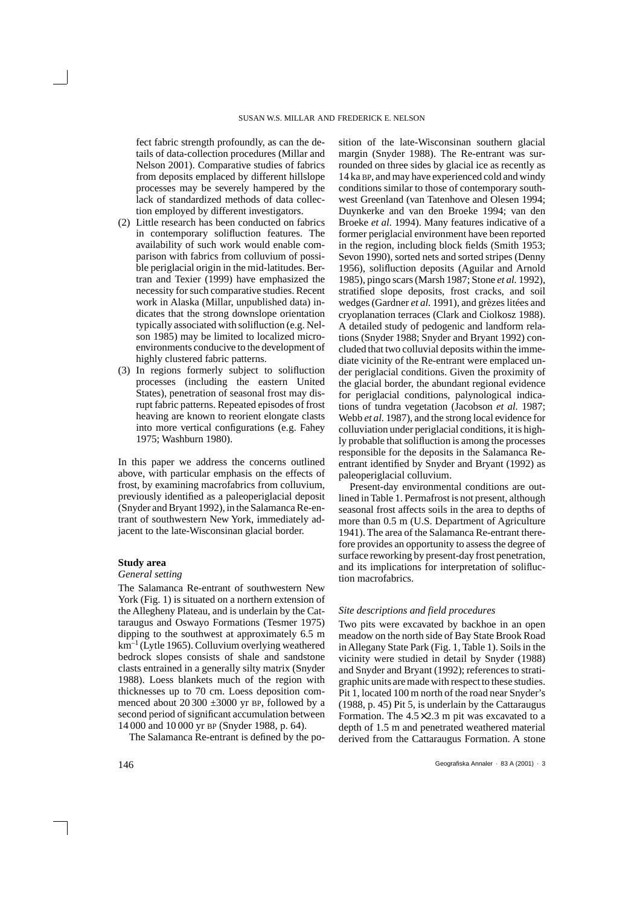fect fabric strength profoundly, as can the details of data-collection procedures (Millar and Nelson 2001). Comparative studies of fabrics from deposits emplaced by different hillslope processes may be severely hampered by the lack of standardized methods of data collection employed by different investigators.

- (2) Little research has been conducted on fabrics in contemporary solifluction features. The availability of such work would enable comparison with fabrics from colluvium of possible periglacial origin in the mid-latitudes. Bertran and Texier (1999) have emphasized the necessity for such comparative studies. Recent work in Alaska (Millar, unpublished data) indicates that the strong downslope orientation typically associated with solifluction (e.g. Nelson 1985) may be limited to localized microenvironments conducive to the development of highly clustered fabric patterns.
- (3) In regions formerly subject to solifluction processes (including the eastern United States), penetration of seasonal frost may disrupt fabric patterns. Repeated episodes of frost heaving are known to reorient elongate clasts into more vertical configurations (e.g. Fahey 1975; Washburn 1980).

In this paper we address the concerns outlined above, with particular emphasis on the effects of frost, by examining macrofabrics from colluvium, previously identified as a paleoperiglacial deposit (Snyder and Bryant 1992), in the Salamanca Re-entrant of southwestern New York, immediately adjacent to the late-Wisconsinan glacial border.

## **Study area**

### *General setting*

The Salamanca Re-entrant of southwestern New York (Fig. 1) is situated on a northern extension of the Allegheny Plateau, and is underlain by the Cattaraugus and Oswayo Formations (Tesmer 1975) dipping to the southwest at approximately 6.5 m  $km^{-1}$  (Lytle 1965). Colluvium overlying weathered bedrock slopes consists of shale and sandstone clasts entrained in a generally silty matrix (Snyder 1988). Loess blankets much of the region with thicknesses up to 70 cm. Loess deposition commenced about  $20\,300 \pm 3000$  yr BP, followed by a second period of significant accumulation between 14 000 and 10 000 yr BP (Snyder 1988, p. 64).

The Salamanca Re-entrant is defined by the po-

sition of the late-Wisconsinan southern glacial margin (Snyder 1988). The Re-entrant was surrounded on three sides by glacial ice as recently as 14 ka BP, and may have experienced cold and windy conditions similar to those of contemporary southwest Greenland (van Tatenhove and Olesen 1994; Duynkerke and van den Broeke 1994; van den Broeke *et al.* 1994). Many features indicative of a former periglacial environment have been reported in the region, including block fields (Smith 1953; Sevon 1990), sorted nets and sorted stripes (Denny 1956), solifluction deposits (Aguilar and Arnold 1985), pingo scars (Marsh 1987; Stone *et al.* 1992), stratified slope deposits, frost cracks, and soil wedges (Gardner *et al.* 1991), and grèzes litées and cryoplanation terraces (Clark and Ciolkosz 1988). A detailed study of pedogenic and landform relations (Snyder 1988; Snyder and Bryant 1992) concluded that two colluvial deposits within the immediate vicinity of the Re-entrant were emplaced under periglacial conditions. Given the proximity of the glacial border, the abundant regional evidence for periglacial conditions, palynological indications of tundra vegetation (Jacobson *et al.* 1987; Webb *et al.* 1987), and the strong local evidence for colluviation under periglacial conditions, it is highly probable that solifluction is among the processes responsible for the deposits in the Salamanca Reentrant identified by Snyder and Bryant (1992) as paleoperiglacial colluvium.

Present-day environmental conditions are outlined in Table 1. Permafrost is not present, although seasonal frost affects soils in the area to depths of more than 0.5 m (U.S. Department of Agriculture 1941). The area of the Salamanca Re-entrant therefore provides an opportunity to assess the degree of surface reworking by present-day frost penetration, and its implications for interpretation of solifluction macrofabrics.

## *Site descriptions and field procedures*

Two pits were excavated by backhoe in an open meadow on the north side of Bay State Brook Road in Allegany State Park (Fig. 1, Table 1). Soils in the vicinity were studied in detail by Snyder (1988) and Snyder and Bryant (1992); references to stratigraphic units are made with respect to these studies. Pit 1, located 100 m north of the road near Snyder's (1988, p. 45) Pit 5, is underlain by the Cattaraugus Formation. The  $4.5 \times 2.3$  m pit was excavated to a depth of 1.5 m and penetrated weathered material derived from the Cattaraugus Formation. A stone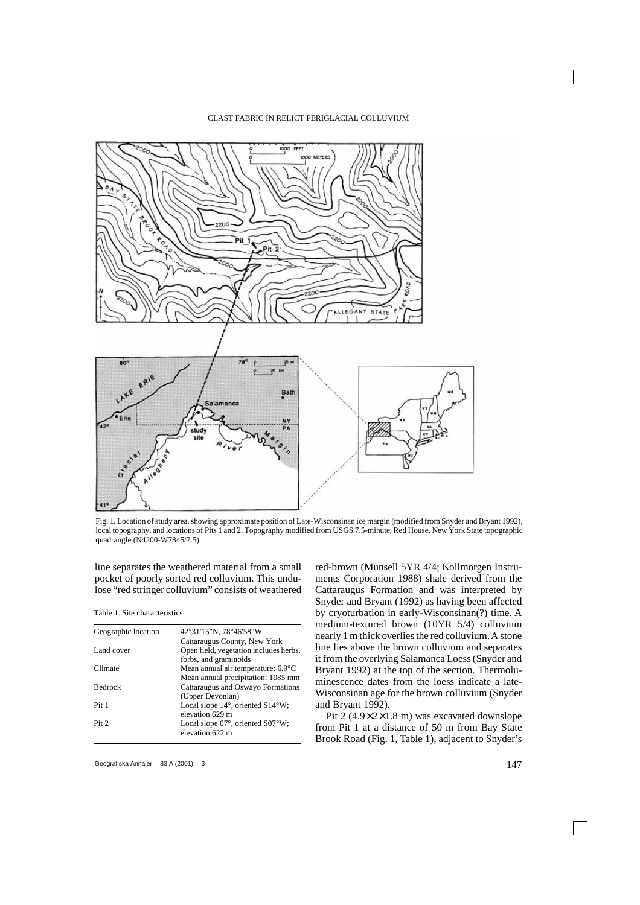

Fig. 1. Location of study area, showing approximate position of Late-Wisconsinan ice margin (modified from Snyder and Bryant 1992), local topography, and locations of Pits 1 and 2. Topography modified from USGS 7.5-minute, Red House, New York State topographic quadrangle (N4200-W7845/7.5).

line separates the weathered material from a small pocket of poorly sorted red colluvium. This undulose "red stringer colluvium" consists of weathered

Table 1. Site characteristics.

| Geographic location | 42°31'15"N, 78°46'58"W                 |  |  |
|---------------------|----------------------------------------|--|--|
|                     | Cattaraugus County, New York           |  |  |
| Land cover          | Open field, vegetation includes herbs, |  |  |
|                     | forbs, and graminoids                  |  |  |
| Climate             | Mean annual air temperature: 6.9°C     |  |  |
|                     | Mean annual precipitation: 1085 mm     |  |  |
| <b>Bedrock</b>      | Cattaraugus and Oswayo Formations      |  |  |
|                     | (Upper Devonian)                       |  |  |
| Pit 1               | Local slope 14°, oriented S14°W;       |  |  |
|                     | elevation 629 m                        |  |  |
| Pit <sub>2</sub>    | Local slope 07°, oriented S07°W;       |  |  |
|                     | elevation 622 m                        |  |  |
|                     |                                        |  |  |

red-brown (Munsell 5YR 4/4; Kollmorgen Instruments Corporation 1988) shale derived from the Cattaraugus Formation and was interpreted by Snyder and Bryant (1992) as having been affected by cryoturbation in early-Wisconsinan(?) time. A medium-textured brown (10YR 5/4) colluvium nearly 1 m thick overlies the red colluvium. A stone line lies above the brown colluvium and separates it from the overlying Salamanca Loess (Snyder and Bryant 1992) at the top of the section. Thermoluminescence dates from the loess indicate a late-Wisconsinan age for the brown colluvium (Snyder and Bryant 1992).

Pit 2  $(4.9 \times 2 \times 1.8 \text{ m})$  was excavated downslope from Pit 1 at a distance of 50 m from Bay State Brook Road (Fig. 1, Table 1), adjacent to Snyder's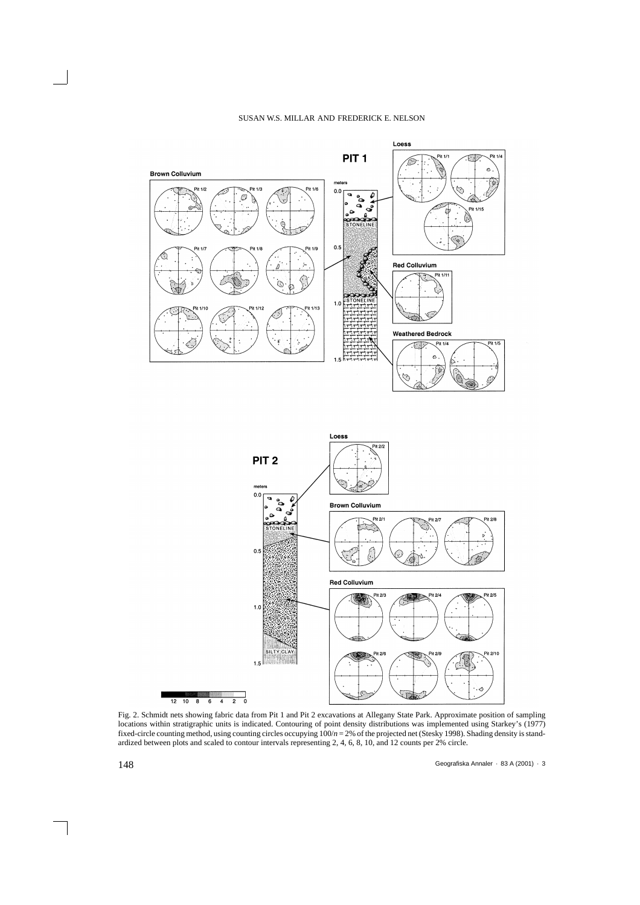



Fig. 2. Schmidt nets showing fabric data from Pit 1 and Pit 2 excavations at Allegany State Park. Approximate position of sampling locations within stratigraphic units is indicated. Contouring of point density distributions was implemented using Starkey's (1977) fixed-circle counting method, using counting circles occupying 100/*n* = 2% of the projected net (Stesky 1998). Shading density is standardized between plots and scaled to contour intervals representing 2, 4, 6, 8, 10, and 12 counts per 2% circle.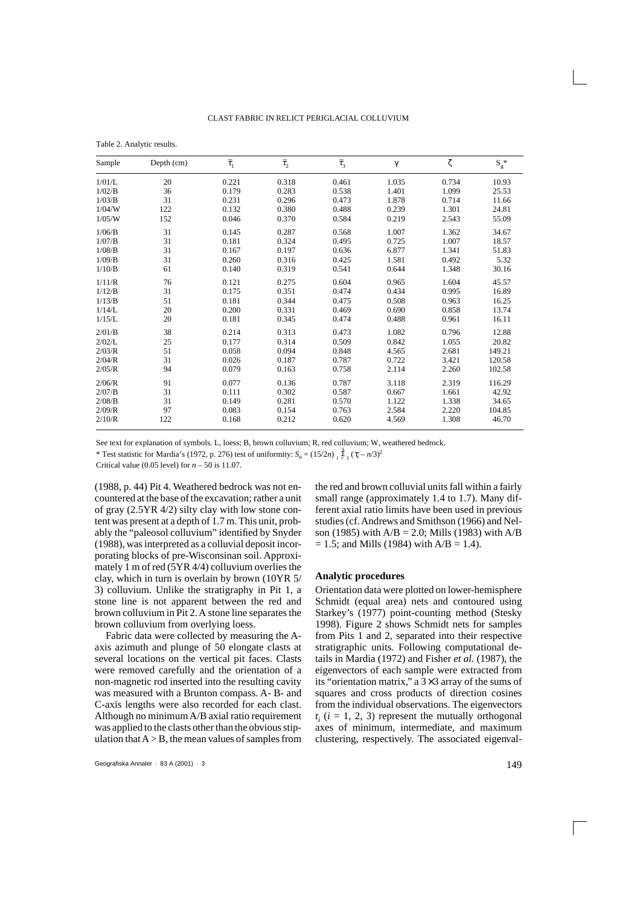| Table 2. Analytic results. |  |
|----------------------------|--|
|----------------------------|--|

| Sample | Depth (cm) | $\bar{\tau}_1$ | $\bar{\tau}_2$ | $\bar{\tau}_3$ | $\gamma$ | ζ     | $\mathbf{S_g}^*$ |
|--------|------------|----------------|----------------|----------------|----------|-------|------------------|
| 1/01/L | 20         | 0.221          | 0.318          | 0.461          | 1.035    | 0.734 | 10.93            |
| 1/02/B | 36         | 0.179          | 0.283          | 0.538          | 1.401    | 1.099 | 25.53            |
| 1/03/B | 31         | 0.231          | 0.296          | 0.473          | 1.878    | 0.714 | 11.66            |
| 1/04/W | 122        | 0.132          | 0.380          | 0.488          | 0.239    | 1.301 | 24.81            |
| 1/05/W | 152        | 0.046          | 0.370          | 0.584          | 0.219    | 2.543 | 55.09            |
| 1/06/B | 31         | 0.145          | 0.287          | 0.568          | 1.007    | 1.362 | 34.67            |
| 1/07/B | 31         | 0.181          | 0.324          | 0.495          | 0.725    | 1.007 | 18.57            |
| 1/08/B | 31         | 0.167          | 0.197          | 0.636          | 6.877    | 1.341 | 51.83            |
| 1/09/B | 31         | 0.260          | 0.316          | 0.425          | 1.581    | 0.492 | 5.32             |
| 1/10/B | 61         | 0.140          | 0.319          | 0.541          | 0.644    | 1.348 | 30.16            |
| 1/11/R | 76         | 0.121          | 0.275          | 0.604          | 0.965    | 1.604 | 45.57            |
| 1/12/B | 31         | 0.175          | 0.351          | 0.474          | 0.434    | 0.995 | 16.89            |
| 1/13/B | 51         | 0.181          | 0.344          | 0.475          | 0.508    | 0.963 | 16.25            |
| 1/14/L | 20         | 0.200          | 0.331          | 0.469          | 0.690    | 0.858 | 13.74            |
| 1/15/L | 20         | 0.181          | 0.345          | 0.474          | 0.488    | 0.961 | 16.11            |
| 2/01/B | 38         | 0.214          | 0.313          | 0.473          | 1.082    | 0.796 | 12.88            |
| 2/02/L | 25         | 0.177          | 0.314          | 0.509          | 0.842    | 1.055 | 20.82            |
| 2/03/R | 51         | 0.058          | 0.094          | 0.848          | 4.565    | 2.681 | 149.21           |
| 2/04/R | 31         | 0.026          | 0.187          | 0.787          | 0.722    | 3.421 | 120.58           |
| 2/05/R | 94         | 0.079          | 0.163          | 0.758          | 2.114    | 2.260 | 102.58           |
| 2/06/R | 91         | 0.077          | 0.136          | 0.787          | 3.118    | 2.319 | 116.29           |
| 2/07/B | 31         | 0.111          | 0.302          | 0.587          | 0.667    | 1.661 | 42.92            |
| 2/08/B | 31         | 0.149          | 0.281          | 0.570          | 1.122    | 1.338 | 34.65            |
| 2/09/R | 97         | 0.083          | 0.154          | 0.763          | 2.584    | 2.220 | 104.85           |
| 2/10/R | 122        | 0.168          | 0.212          | 0.620          | 4.569    | 1.308 | 46.70            |

See text for explanation of symbols. L, loess; B, brown colluvium; R, red colluvium; W, weathered bedrock.

\* Test statistic for Mardia's (1972, p. 276) test of uniformity:  $S_u = (15/2n)$   $\frac{3}{k}$   $\frac{2}{k}$   $(\tau_i - n/3)^2$ 

Critical value (0.05 level) for *n* – 50 is 11.07.

(1988, p. 44) Pit 4. Weathered bedrock was not encountered at the base of the excavation; rather a unit of gray (2.5YR 4/2) silty clay with low stone content was present at a depth of 1.7 m. This unit, probably the "paleosol colluvium" identified by Snyder (1988), was interpreted as a colluvial deposit incorporating blocks of pre-Wisconsinan soil. Approximately 1 m of red (5YR 4/4) colluvium overlies the clay, which in turn is overlain by brown (10YR 5/ 3) colluvium. Unlike the stratigraphy in Pit 1, a stone line is not apparent between the red and brown colluvium in Pit 2. A stone line separates the brown colluvium from overlying loess.

Fabric data were collected by measuring the Aaxis azimuth and plunge of 50 elongate clasts at several locations on the vertical pit faces. Clasts were removed carefully and the orientation of a non-magnetic rod inserted into the resulting cavity was measured with a Brunton compass. A- B- and C-axis lengths were also recorded for each clast. Although no minimum A/B axial ratio requirement was applied to the clasts other than the obvious stipulation that  $A > B$ , the mean values of samples from

Geografiska Annaler · 83 A (2001) · 3 149

the red and brown colluvial units fall within a fairly small range (approximately 1.4 to 1.7). Many different axial ratio limits have been used in previous studies (cf. Andrews and Smithson (1966) and Nelson (1985) with  $A/B = 2.0$ ; Mills (1983) with  $A/B$  $= 1.5$ ; and Mills (1984) with  $A/B = 1.4$ ).

#### **Analytic procedures**

Orientation data were plotted on lower-hemisphere Schmidt (equal area) nets and contoured using Starkey's (1977) point-counting method (Stesky 1998). Figure 2 shows Schmidt nets for samples from Pits 1 and 2, separated into their respective stratigraphic units. Following computational details in Mardia (1972) and Fisher *et al.* (1987), the eigenvectors of each sample were extracted from its "orientation matrix," a 3×3 array of the sums of squares and cross products of direction cosines from the individual observations. The eigenvectors  $t_i$  ( $i = 1, 2, 3$ ) represent the mutually orthogonal axes of minimum, intermediate, and maximum clustering, respectively. The associated eigenval-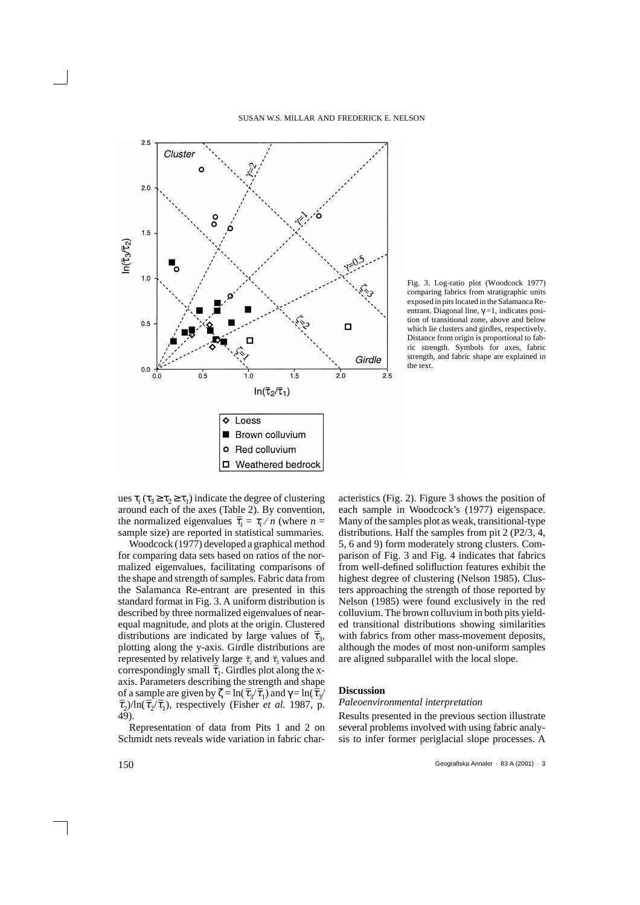

Fig. 3. Log-ratio plot (Woodcock 1977) comparing fabrics from stratigraphic units exposed in pits located in the Salamanca Reentrant. Diagonal line,  $\gamma = 1$ , indicates position of transitional zone, above and below which lie clusters and girdles, respectively. Distance from origin is proportional to fabric strength. Symbols for axes, fabric strength, and fabric shape are explained in the text.

ues  $\tau_i$  ( $\tau_3 \ge \tau_2 \ge \tau_1$ ) indicate the degree of clustering around each of the axes (Table 2). By convention, the normalized eigenvalues  $\bar{\tau}_i = \tau_i / n$  (where  $n =$ sample size) are reported in statistical summaries.

Woodcock (1977) developed a graphical method for comparing data sets based on ratios of the normalized eigenvalues, facilitating comparisons of the shape and strength of samples. Fabric data from the Salamanca Re-entrant are presented in this standard format in Fig. 3. A uniform distribution is described by three normalized eigenvalues of nearequal magnitude, and plots at the origin. Clustered distributions are indicated by large values of  $\bar{\tau}_3$ , plotting along the y-axis. Girdle distributions are represented by relatively large  $\bar{\tau}$ , and  $\bar{\tau}$ <sub>3</sub> values and correspondingly small  $\bar{\tau}_1$ . Girdles plot along the xaxis. Parameters describing the strength and shape of a sample are given by  $\zeta = \ln(\bar{\tau}_3/\bar{\tau}_1)$  and  $\gamma = \ln(\bar{\tau}_3/2)$  $\bar{\tau}_2$ )/ln( $\bar{\tau}_2/\bar{\tau}_1$ ), respectively (Fisher *et al.* 1987, p. 49).

Representation of data from Pits 1 and 2 on Schmidt nets reveals wide variation in fabric characteristics (Fig. 2). Figure 3 shows the position of each sample in Woodcock's (1977) eigenspace. Many of the samples plot as weak, transitional-type distributions. Half the samples from pit 2 (P2/3, 4, 5, 6 and 9) form moderately strong clusters. Comparison of Fig. 3 and Fig. 4 indicates that fabrics from well-defined solifluction features exhibit the highest degree of clustering (Nelson 1985). Clusters approaching the strength of those reported by Nelson (1985) were found exclusively in the red colluvium. The brown colluvium in both pits yielded transitional distributions showing similarities with fabrics from other mass-movement deposits, although the modes of most non-uniform samples are aligned subparallel with the local slope.

#### **Discussion**

## *Paleoenvironmental interpretation*

Results presented in the previous section illustrate several problems involved with using fabric analysis to infer former periglacial slope processes. A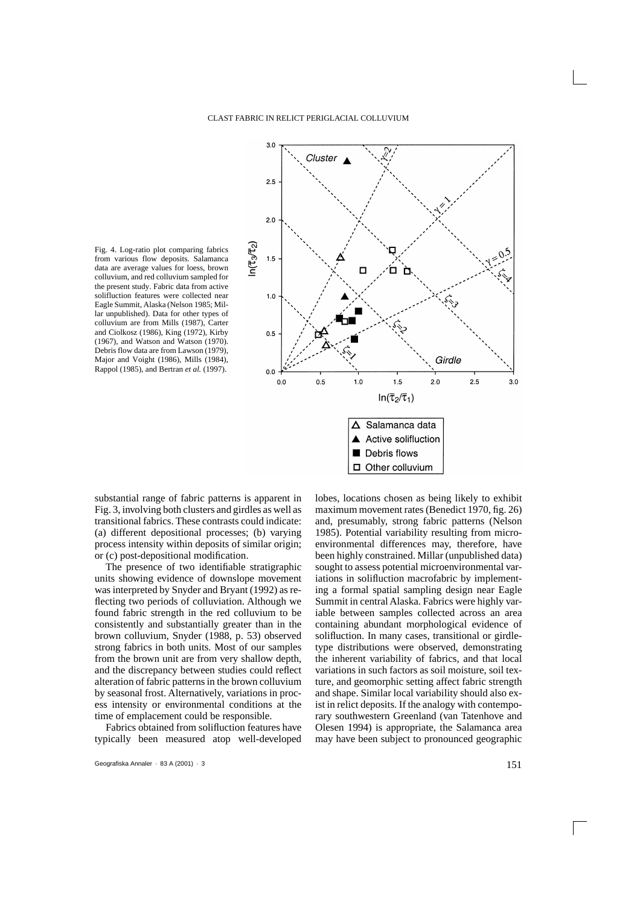$n(\overline{\tau}_3/\overline{\tau}_2)$ Fig. 4. Log-ratio plot comparing fabrics from various flow deposits. Salamanca data are average values for loess, brown colluvium, and red colluvium sampled for the present study. Fabric data from active solifluction features were collected near Eagle Summit, Alaska (Nelson 1985; Millar unpublished). Data for other types of colluvium are from Mills (1987), Carter and Ciolkosz (1986), King (1972), Kirby (1967), and Watson and Watson (1970). Debris flow data are from Lawson (1979), Major and Voight (1986), Mills (1984), Rappol (1985), and Bertran *et al.* (1997).



substantial range of fabric patterns is apparent in Fig. 3, involving both clusters and girdles as well as transitional fabrics. These contrasts could indicate: (a) different depositional processes; (b) varying process intensity within deposits of similar origin; or (c) post-depositional modification.

The presence of two identifiable stratigraphic units showing evidence of downslope movement was interpreted by Snyder and Bryant (1992) as reflecting two periods of colluviation. Although we found fabric strength in the red colluvium to be consistently and substantially greater than in the brown colluvium, Snyder (1988, p. 53) observed strong fabrics in both units. Most of our samples from the brown unit are from very shallow depth, and the discrepancy between studies could reflect alteration of fabric patterns in the brown colluvium by seasonal frost. Alternatively, variations in process intensity or environmental conditions at the time of emplacement could be responsible.

Fabrics obtained from solifluction features have typically been measured atop well-developed lobes, locations chosen as being likely to exhibit maximum movement rates (Benedict 1970, fig. 26) and, presumably, strong fabric patterns (Nelson 1985). Potential variability resulting from microenvironmental differences may, therefore, have been highly constrained. Millar (unpublished data) sought to assess potential microenvironmental variations in solifluction macrofabric by implementing a formal spatial sampling design near Eagle Summit in central Alaska. Fabrics were highly variable between samples collected across an area containing abundant morphological evidence of solifluction. In many cases, transitional or girdletype distributions were observed, demonstrating the inherent variability of fabrics, and that local variations in such factors as soil moisture, soil texture, and geomorphic setting affect fabric strength and shape. Similar local variability should also exist in relict deposits. If the analogy with contemporary southwestern Greenland (van Tatenhove and Olesen 1994) is appropriate, the Salamanca area may have been subject to pronounced geographic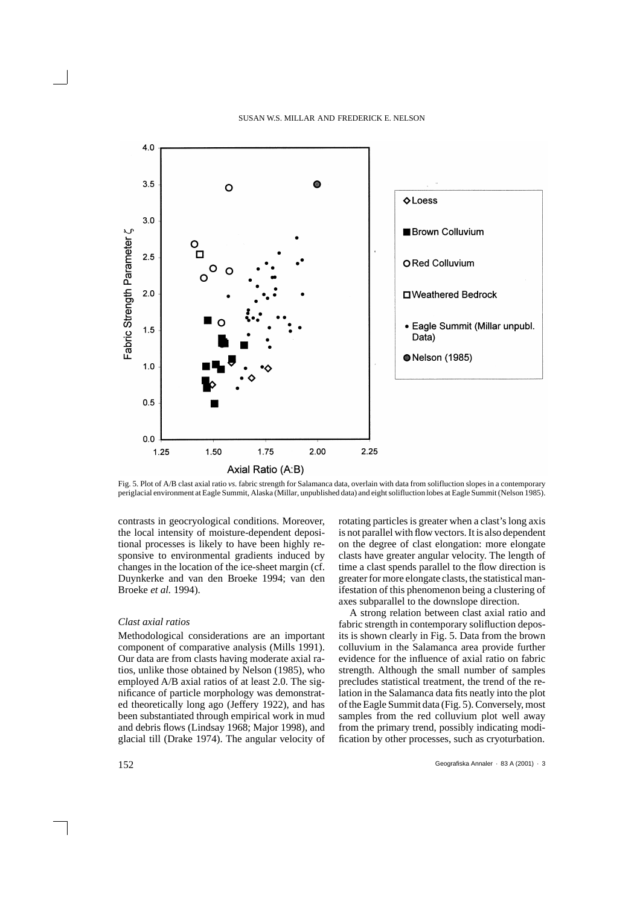

Fig. 5. Plot of A/B clast axial ratio *vs.* fabric strength for Salamanca data, overlain with data from solifluction slopes in a contemporary periglacial environment at Eagle Summit, Alaska (Millar, unpublished data) and eight solifluction lobes at Eagle Summit (Nelson 1985).

contrasts in geocryological conditions. Moreover, the local intensity of moisture-dependent depositional processes is likely to have been highly responsive to environmental gradients induced by changes in the location of the ice-sheet margin (cf. Duynkerke and van den Broeke 1994; van den Broeke *et al.* 1994).

## *Clast axial ratios*

Methodological considerations are an important component of comparative analysis (Mills 1991). Our data are from clasts having moderate axial ratios, unlike those obtained by Nelson (1985), who employed A/B axial ratios of at least 2.0. The significance of particle morphology was demonstrated theoretically long ago (Jeffery 1922), and has been substantiated through empirical work in mud and debris flows (Lindsay 1968; Major 1998), and glacial till (Drake 1974). The angular velocity of rotating particles is greater when a clast's long axis is not parallel with flow vectors. It is also dependent on the degree of clast elongation: more elongate clasts have greater angular velocity. The length of time a clast spends parallel to the flow direction is greater for more elongate clasts, the statistical manifestation of this phenomenon being a clustering of axes subparallel to the downslope direction.

A strong relation between clast axial ratio and fabric strength in contemporary solifluction deposits is shown clearly in Fig. 5. Data from the brown colluvium in the Salamanca area provide further evidence for the influence of axial ratio on fabric strength. Although the small number of samples precludes statistical treatment, the trend of the relation in the Salamanca data fits neatly into the plot of the Eagle Summit data (Fig. 5). Conversely, most samples from the red colluvium plot well away from the primary trend, possibly indicating modification by other processes, such as cryoturbation.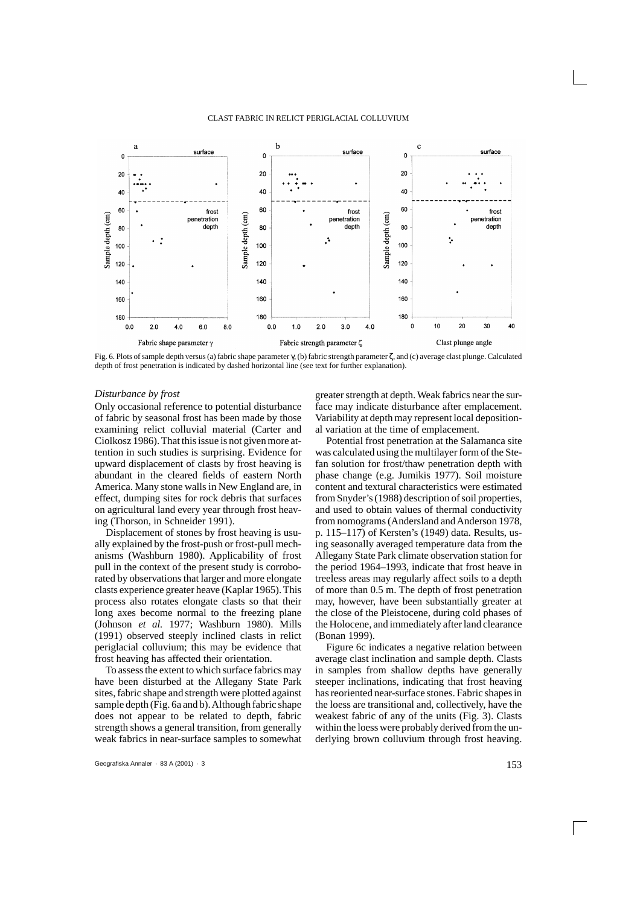

Fig. 6. Plots of sample depth versus (a) fabric shape parameter γ, (b) fabric strength parameter ζ, and (c) average clast plunge. Calculated depth of frost penetration is indicated by dashed horizontal line (see text for further explanation).

#### *Disturbance by frost*

Only occasional reference to potential disturbance of fabric by seasonal frost has been made by those examining relict colluvial material (Carter and Ciolkosz 1986). That this issue is not given more attention in such studies is surprising. Evidence for upward displacement of clasts by frost heaving is abundant in the cleared fields of eastern North America. Many stone walls in New England are, in effect, dumping sites for rock debris that surfaces on agricultural land every year through frost heaving (Thorson, in Schneider 1991).

Displacement of stones by frost heaving is usually explained by the frost-push or frost-pull mechanisms (Washburn 1980). Applicability of frost pull in the context of the present study is corroborated by observations that larger and more elongate clasts experience greater heave (Kaplar 1965). This process also rotates elongate clasts so that their long axes become normal to the freezing plane (Johnson *et al.* 1977; Washburn 1980). Mills (1991) observed steeply inclined clasts in relict periglacial colluvium; this may be evidence that frost heaving has affected their orientation.

To assess the extent to which surface fabrics may have been disturbed at the Allegany State Park sites, fabric shape and strength were plotted against sample depth (Fig. 6a and b). Although fabric shape does not appear to be related to depth, fabric strength shows a general transition, from generally weak fabrics in near-surface samples to somewhat greater strength at depth. Weak fabrics near the surface may indicate disturbance after emplacement. Variability at depth may represent local depositional variation at the time of emplacement.

Potential frost penetration at the Salamanca site was calculated using the multilayer form of the Stefan solution for frost/thaw penetration depth with phase change (e.g. Jumikis 1977). Soil moisture content and textural characteristics were estimated from Snyder's (1988) description of soil properties, and used to obtain values of thermal conductivity from nomograms (Andersland and Anderson 1978, p. 115–117) of Kersten's (1949) data. Results, using seasonally averaged temperature data from the Allegany State Park climate observation station for the period 1964–1993, indicate that frost heave in treeless areas may regularly affect soils to a depth of more than 0.5 m. The depth of frost penetration may, however, have been substantially greater at the close of the Pleistocene, during cold phases of the Holocene, and immediately after land clearance (Bonan 1999).

Figure 6c indicates a negative relation between average clast inclination and sample depth. Clasts in samples from shallow depths have generally steeper inclinations, indicating that frost heaving has reoriented near-surface stones. Fabric shapes in the loess are transitional and, collectively, have the weakest fabric of any of the units (Fig. 3). Clasts within the loess were probably derived from the underlying brown colluvium through frost heaving.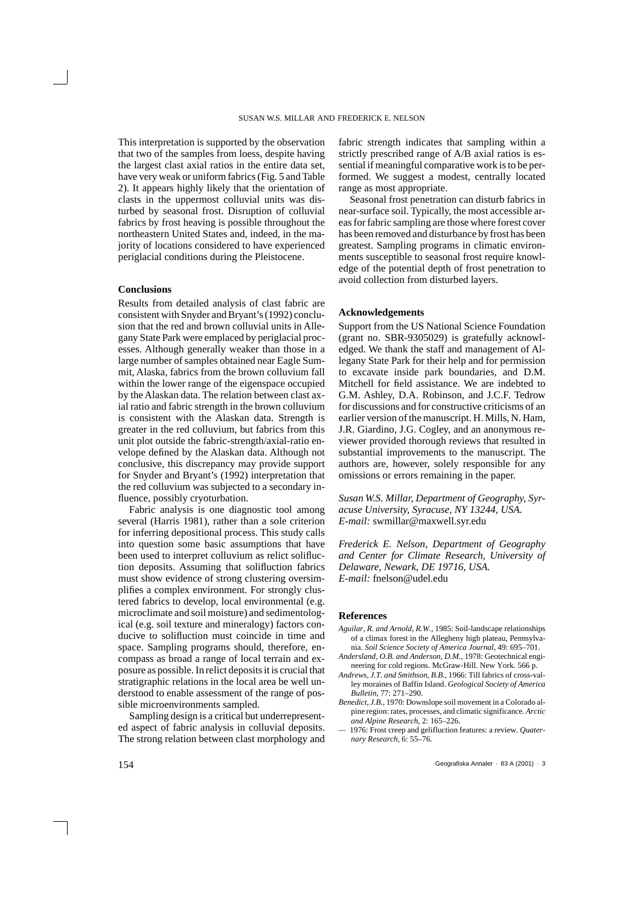This interpretation is supported by the observation that two of the samples from loess, despite having the largest clast axial ratios in the entire data set, have very weak or uniform fabrics (Fig. 5 and Table 2). It appears highly likely that the orientation of clasts in the uppermost colluvial units was disturbed by seasonal frost. Disruption of colluvial fabrics by frost heaving is possible throughout the northeastern United States and, indeed, in the majority of locations considered to have experienced periglacial conditions during the Pleistocene.

## **Conclusions**

Results from detailed analysis of clast fabric are consistent with Snyder and Bryant's (1992) conclusion that the red and brown colluvial units in Allegany State Park were emplaced by periglacial processes. Although generally weaker than those in a large number of samples obtained near Eagle Summit, Alaska, fabrics from the brown colluvium fall within the lower range of the eigenspace occupied by the Alaskan data. The relation between clast axial ratio and fabric strength in the brown colluvium is consistent with the Alaskan data. Strength is greater in the red colluvium, but fabrics from this unit plot outside the fabric-strength/axial-ratio envelope defined by the Alaskan data. Although not conclusive, this discrepancy may provide support for Snyder and Bryant's (1992) interpretation that the red colluvium was subjected to a secondary influence, possibly cryoturbation.

Fabric analysis is one diagnostic tool among several (Harris 1981), rather than a sole criterion for inferring depositional process. This study calls into question some basic assumptions that have been used to interpret colluvium as relict solifluction deposits. Assuming that solifluction fabrics must show evidence of strong clustering oversimplifies a complex environment. For strongly clustered fabrics to develop, local environmental (e.g. microclimate and soil moisture) and sedimentological (e.g. soil texture and mineralogy) factors conducive to solifluction must coincide in time and space. Sampling programs should, therefore, encompass as broad a range of local terrain and exposure as possible. In relict deposits it is crucial that stratigraphic relations in the local area be well understood to enable assessment of the range of possible microenvironments sampled.

Sampling design is a critical but underrepresented aspect of fabric analysis in colluvial deposits. The strong relation between clast morphology and fabric strength indicates that sampling within a strictly prescribed range of A/B axial ratios is essential if meaningful comparative work is to be performed. We suggest a modest, centrally located range as most appropriate.

Seasonal frost penetration can disturb fabrics in near-surface soil. Typically, the most accessible areas for fabric sampling are those where forest cover has been removed and disturbance by frost has been greatest. Sampling programs in climatic environments susceptible to seasonal frost require knowledge of the potential depth of frost penetration to avoid collection from disturbed layers.

## **Acknowledgements**

Support from the US National Science Foundation (grant no. SBR-9305029) is gratefully acknowledged. We thank the staff and management of Allegany State Park for their help and for permission to excavate inside park boundaries, and D.M. Mitchell for field assistance. We are indebted to G.M. Ashley, D.A. Robinson, and J.C.F. Tedrow for discussions and for constructive criticisms of an earlier version of the manuscript. H. Mills, N. Ham, J.R. Giardino, J.G. Cogley, and an anonymous reviewer provided thorough reviews that resulted in substantial improvements to the manuscript. The authors are, however, solely responsible for any omissions or errors remaining in the paper.

*Susan W.S. Millar, Department of Geography, Syracuse University, Syracuse, NY 13244, USA. E-mail:* swmillar@maxwell.syr.edu

*Frederick E. Nelson, Department of Geography and Center for Climate Research, University of Delaware, Newark, DE 19716, USA. E-mail:* fnelson@udel.edu

### **References**

- *Aguilar, R. and Arnold, R.W.,* 1985: Soil-landscape relationships of a climax forest in the Allegheny high plateau, Pennsylvania. *Soil Science Society of America Journal*, 49: 695–701.
- *Andersland, O.B. and Anderson, D.M.,* 1978: Geotechnical engineering for cold regions. McGraw-Hill. New York. 566 p.
- *Andrews, J.T. and Smithson, B.B.,* 1966: Till fabrics of cross-valley moraines of Baffin Island. *Geological Society of America Bulletin*, 77: 271–290.
- *Benedict, J.B.,* 1970: Downslope soil movement in a Colorado alpine region: rates, processes, and climatic significance*. Arctic and Alpine Research,* 2: 165–226.
- 1976: Frost creep and gelifluction features: a review. *Quaternary Research*, 6: 55–76.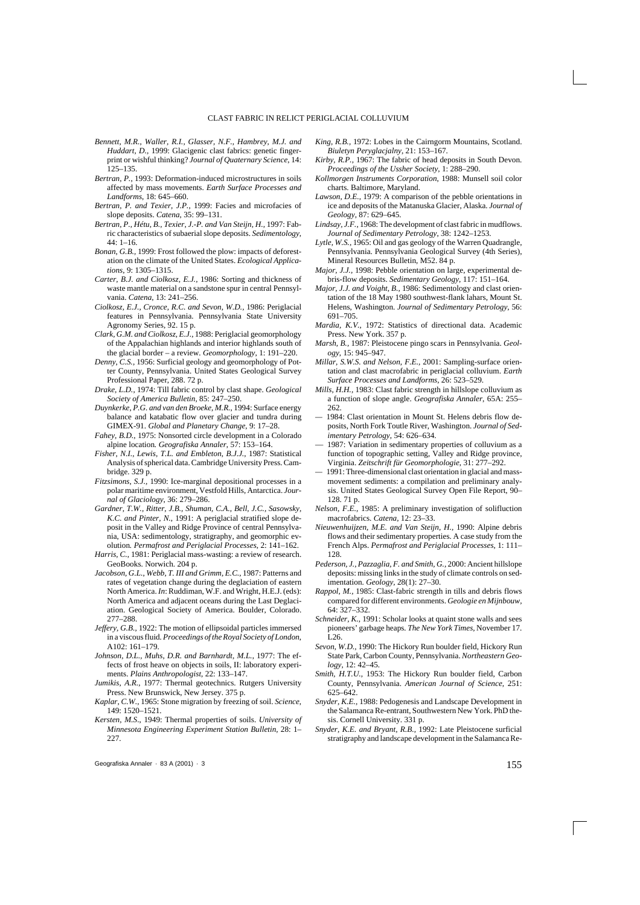- *Bennett, M.R., Waller, R.I., Glasser, N.F., Hambrey, M.J. and Huddart, D.,* 1999: Glacigenic clast fabrics: genetic fingerprint or wishful thinking? *Journal of Quaternary Science*, 14: 125–135.
- *Bertran, P.,* 1993: Deformation-induced microstructures in soils affected by mass movements. *Earth Surface Processes and Landforms*, 18: 645–660.
- *Bertran, P. and Texier, J.P.,* 1999: Facies and microfacies of slope deposits. *Catena,* 35: 99–131.
- *Bertran, P., Hétu, B., Texier, J.-P. and Van Steijn, H.,* 1997: Fabric characteristics of subaerial slope deposits. *Sedimentology*,  $44 \cdot 1 - 16$
- *Bonan, G.B.,* 1999: Frost followed the plow: impacts of deforestation on the climate of the United States. *Ecological Applications*, 9: 1305–1315.
- *Carter, B.J. and Ciolkosz, E.J.,* 1986: Sorting and thickness of waste mantle material on a sandstone spur in central Pennsylvania. *Catena*, 13: 241–256.
- *Ciolkosz, E.J., Cronce, R.C. and Sevon, W.D.,* 1986: Periglacial features in Pennsylvania. Pennsylvania State University Agronomy Series, 92. 15 p.
- *Clark, G.M. and Ciolkosz, E.J.*, 1988: Periglacial geomorphology of the Appalachian highlands and interior highlands south of the glacial border – a review. *Geomorphology*, 1: 191–220.
- *Denny, C.S.,* 1956: Surficial geology and geomorphology of Potter County, Pennsylvania. United States Geological Survey Professional Paper, 288. 72 p.
- *Drake, L.D.,* 1974: Till fabric control by clast shape. *Geological Society of America Bulletin,* 85: 247–250.
- *Duynkerke, P.G. and van den Broeke, M.R.*, 1994: Surface energy balance and katabatic flow over glacier and tundra during GIMEX-91. *Global and Planetary Change*, 9: 17–28.
- *Fahey, B.D.*, 1975: Nonsorted circle development in a Colorado alpine location*. Geografiska Annaler*, 57: 153–164.
- *Fisher, N.I., Lewis, T.L. and Embleton, B.J.J.*, 1987: Statistical Analysis of spherical data. Cambridge University Press. Cambridge. 329 p.
- *Fitzsimons, S.J.,* 1990: Ice-marginal depositional processes in a polar maritime environment, Vestfold Hills, Antarctica. *Journal of Glaciology*, 36: 279–286.
- *Gardner, T.W., Ritter, J.B., Shuman, C.A., Bell, J.C., Sasowsky, K.C. and Pinter, N.*, 1991: A periglacial stratified slope deposit in the Valley and Ridge Province of central Pennsylvania, USA: sedimentology, stratigraphy, and geomorphic evolution*. Permafrost and Periglacial Processes*, 2: 141–162.
- *Harris, C.*, 1981: Periglacial mass-wasting: a review of research. GeoBooks. Norwich. 204 p.
- *Jacobson, G.L., Webb, T. III and Grimm, E.C.*, 1987: Patterns and rates of vegetation change during the deglaciation of eastern North America. *In*: Ruddiman, W.F. and Wright, H.E.J. (eds): North America and adjacent oceans during the Last Deglaciation. Geological Society of America. Boulder, Colorado. 277–288.
- *Jeffery, G.B.,* 1922: The motion of ellipsoidal particles immersed in a viscous fluid*. Proceedings of the Royal Society of London*, A102: 161–179.
- *Johnson, D.L., Muhs, D.R. and Barnhardt, M.L.*, 1977: The effects of frost heave on objects in soils, II: laboratory experiments. *Plains Anthropologist*, 22: 133–147.
- *Jumikis, A.R.*, 1977: Thermal geotechnics. Rutgers University Press. New Brunswick, New Jersey. 375 p.
- *Kaplar, C.W.,* 1965: Stone migration by freezing of soil. *Science*, 149: 1520–1521.
- *Kersten, M.S*., 1949: Thermal properties of soils. *University of Minnesota Engineering Experiment Station Bulletin,* 28: 1–  $227$
- *King, R.B.,* 1972: Lobes in the Cairngorm Mountains, Scotland. *Biuletyn Peryglacjalny*, 21: 153–167.
- *Kirby, R.P.,* 1967: The fabric of head deposits in South Devon. *Proceedings of the Ussher Society*, 1: 288–290.
- *Kollmorgen Instruments Corporation*, 1988: Munsell soil color charts. Baltimore, Maryland.
- *Lawson, D.E.,* 1979: A comparison of the pebble orientations in ice and deposits of the Matanuska Glacier, Alaska. *Journal of Geology*, 87: 629–645.
- *Lindsay, J.F.,* 1968: The development of clast fabric in mudflows. *Journal of Sedimentary Petrology*, 38: 1242–1253.
- *Lytle, W.S.,* 1965: Oil and gas geology of the Warren Quadrangle, Pennsylvania. Pennsylvania Geological Survey (4th Series), Mineral Resources Bulletin, M52. 84 p.
- *Major, J.J.,* 1998: Pebble orientation on large, experimental debris-flow deposits. *Sedimentary Geology*, 117: 151–164.
- *Major, J.J. and Voight, B.,* 1986: Sedimentology and clast orientation of the 18 May 1980 southwest-flank lahars, Mount St. Helens, Washington. *Journal of Sedimentary Petrology*, 56: 691–705.
- *Mardia, K.V.,* 1972: Statistics of directional data. Academic Press. New York. 357 p.
- *Marsh, B.,* 1987: Pleistocene pingo scars in Pennsylvania. *Geology*, 15: 945–947.
- *Millar, S.W.S. and Nelson, F.E.,* 2001: Sampling-surface orientation and clast macrofabric in periglacial colluvium. *Earth Surface Processes and Landforms*, 26: 523–529.
- *Mills, H.H.,* 1983: Clast fabric strength in hillslope colluvium as a function of slope angle. *Geografiska Annaler*, 65A: 255– 262.
- 1984: Clast orientation in Mount St. Helens debris flow deposits, North Fork Toutle River, Washington. *Journal of Sedimentary Petrology*, 54: 626–634.
- 1987: Variation in sedimentary properties of colluvium as a function of topographic setting, Valley and Ridge province, Virginia. *Zeitschrift für Geomorphologie*, 31: 277–292.
- 1991: Three-dimensional clast orientation in glacial and massmovement sediments: a compilation and preliminary analysis. United States Geological Survey Open File Report, 90– 128. 71 p.
- *Nelson, F.E.,* 1985: A preliminary investigation of solifluction macrofabrics. *Catena,* 12: 23–33.
- *Nieuwenhuijzen, M.E. and Van Steijn, H.,* 1990: Alpine debris flows and their sedimentary properties. A case study from the French Alps. *Permafrost and Periglacial Processes,* 1: 111– 128.
- *Pederson, J., Pazzaglia, F. and Smith, G.,* 2000: Ancient hillslope deposits: missing links in the study of climate controls on sedimentation. *Geology,* 28(1): 27–30.
- *Rappol, M.,* 1985: Clast-fabric strength in tills and debris flows compared for different environments. *Geologie en Mijnbouw,* 64: 327–332.
- *Schneider, K.,* 1991: Scholar looks at quaint stone walls and sees pioneers' garbage heaps*. The New York Times,* November 17. L26.
- *Sevon, W.D.,* 1990: The Hickory Run boulder field, Hickory Run State Park, Carbon County, Pennsylvania. *Northeastern Geology,* 12: 42–45.
- *Smith, H.T.U.,* 1953: The Hickory Run boulder field, Carbon County, Pennsylvania. *American Journal of Science,* 251: 625–642.
- *Snyder, K.E.,* 1988: Pedogenesis and Landscape Development in the Salamanca Re-entrant, Southwestern New York. PhD thesis. Cornell University. 331 p.
- *Snyder, K.E. and Bryant, R.B.,* 1992: Late Pleistocene surficial stratigraphy and landscape development in the Salamanca Re-